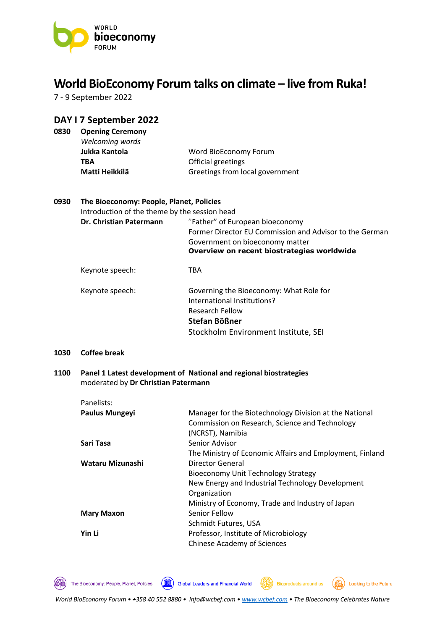

# **World BioEconomy Forum talks on climate – live from Ruka!**

7 - 9 September 2022

# **DAY I 7 September 2022**

| <b>Opening Ceremony</b> |                                 |
|-------------------------|---------------------------------|
| Welcoming words         |                                 |
| Jukka Kantola           | Word BioEconomy Forum           |
| TBA                     | Official greetings              |
| Matti Heikkilä          | Greetings from local government |
|                         |                                 |

#### **0930 The Bioeconomy: People, Planet, Policies**

Introduction of the theme by the session head

**Dr. Christian Patermann** "Father" of European bioeconomy Former Director EU Commission and Advisor to the German Government on bioeconomy matter **Overview on recent biostrategies worldwide**

# Keynote speech: TBA

| Keynote speech: | Governing the Bioeconomy: What Role for |
|-----------------|-----------------------------------------|
|                 | International Institutions?             |
|                 | <b>Research Fellow</b>                  |
|                 | Stefan Bößner                           |
|                 | Stockholm Environment Institute, SEI    |

#### **1030 Coffee break**

#### **1100 Panel 1 Latest development of National and regional biostrategies**  moderated by **Dr Christian Patermann**

| Panelists:            |                                                          |
|-----------------------|----------------------------------------------------------|
| <b>Paulus Mungeyi</b> | Manager for the Biotechnology Division at the National   |
|                       | Commission on Research, Science and Technology           |
|                       | (NCRST), Namibia                                         |
| Sari Tasa             | Senior Advisor                                           |
|                       | The Ministry of Economic Affairs and Employment, Finland |
| Wataru Mizunashi      | Director General                                         |
|                       | Bioeconomy Unit Technology Strategy                      |
|                       | New Energy and Industrial Technology Development         |
|                       | Organization                                             |
|                       | Ministry of Economy, Trade and Industry of Japan         |
| <b>Mary Maxon</b>     | Senior Fellow                                            |
|                       | Schmidt Futures, USA                                     |
| Yin Li                | Professor, Institute of Microbiology                     |
|                       | <b>Chinese Academy of Sciences</b>                       |

 $\circledcirc$ 

The Bioeconomy: People, Planet, Policies

(100) Global Leaders and Financial World

Looking to the Future

**Bioproducts around us**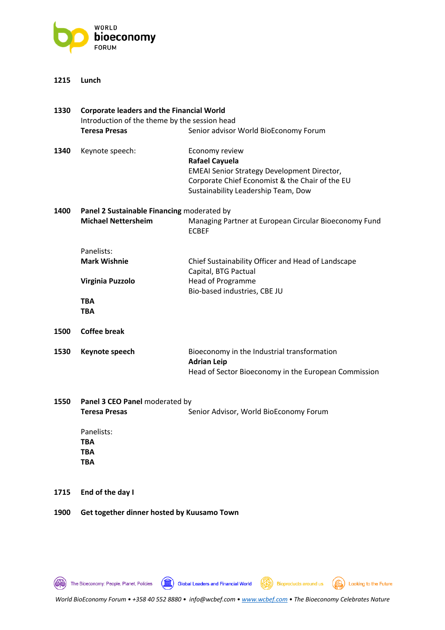

#### **1215 Lunch**

| 1330 | <b>Corporate leaders and the Financial World</b><br>Introduction of the theme by the session head |                                                                                                                                                                                         |
|------|---------------------------------------------------------------------------------------------------|-----------------------------------------------------------------------------------------------------------------------------------------------------------------------------------------|
|      | <b>Teresa Presas</b>                                                                              | Senior advisor World BioEconomy Forum                                                                                                                                                   |
| 1340 | Keynote speech:                                                                                   | Economy review<br><b>Rafael Cayuela</b><br><b>EMEAI Senior Strategy Development Director,</b><br>Corporate Chief Economist & the Chair of the EU<br>Sustainability Leadership Team, Dow |
| 1400 | Panel 2 Sustainable Financing moderated by                                                        |                                                                                                                                                                                         |
|      | <b>Michael Nettersheim</b>                                                                        | Managing Partner at European Circular Bioeconomy Fund<br><b>ECBEF</b>                                                                                                                   |
|      | Panelists:                                                                                        |                                                                                                                                                                                         |
|      | <b>Mark Wishnie</b>                                                                               | Chief Sustainability Officer and Head of Landscape<br>Capital, BTG Pactual                                                                                                              |
|      | Virginia Puzzolo                                                                                  | <b>Head of Programme</b><br>Bio-based industries, CBE JU                                                                                                                                |
|      | TBA<br><b>TBA</b>                                                                                 |                                                                                                                                                                                         |
| 1500 | <b>Coffee break</b>                                                                               |                                                                                                                                                                                         |
| 1530 | Keynote speech                                                                                    | Bioeconomy in the Industrial transformation<br><b>Adrian Leip</b>                                                                                                                       |
|      |                                                                                                   | Head of Sector Bioeconomy in the European Commission                                                                                                                                    |
| 1550 | Panel 3 CEO Panel moderated by                                                                    |                                                                                                                                                                                         |
|      | <b>Teresa Presas</b>                                                                              | Senior Advisor, World BioEconomy Forum                                                                                                                                                  |
|      | Panelists:                                                                                        |                                                                                                                                                                                         |
|      | <b>TBA</b>                                                                                        |                                                                                                                                                                                         |
|      | TBA<br>TBA                                                                                        |                                                                                                                                                                                         |
|      |                                                                                                   |                                                                                                                                                                                         |

**1715 End of the day I**

#### **1900 Get together dinner hosted by Kuusamo Town**

The Bioeconomy: People, Planet, Policies

Bioproducts around us (S) Looking to the Future

Global Leaders and Financial World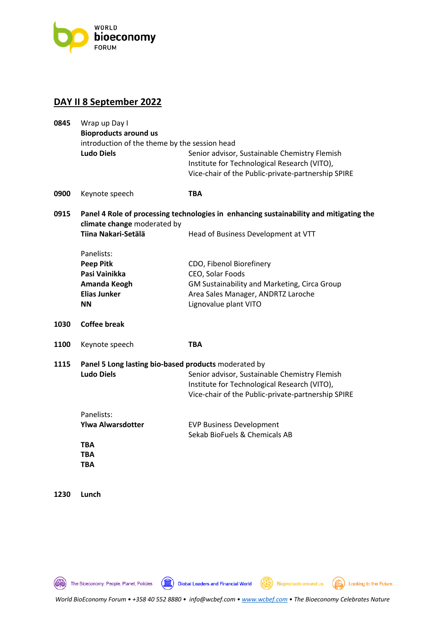

## **DAY II 8 September 2022**

| 0845 | Wrap up Day I                                                                                                         |                                                                                                                                                     |  |
|------|-----------------------------------------------------------------------------------------------------------------------|-----------------------------------------------------------------------------------------------------------------------------------------------------|--|
|      | <b>Bioproducts around us</b><br>introduction of the theme by the session head                                         |                                                                                                                                                     |  |
|      | <b>Ludo Diels</b>                                                                                                     | Senior advisor, Sustainable Chemistry Flemish<br>Institute for Technological Research (VITO),<br>Vice-chair of the Public-private-partnership SPIRE |  |
| 0900 | Keynote speech                                                                                                        | <b>TBA</b>                                                                                                                                          |  |
| 0915 | Panel 4 Role of processing technologies in enhancing sustainability and mitigating the<br>climate change moderated by |                                                                                                                                                     |  |
|      | Tiina Nakari-Setälä                                                                                                   | Head of Business Development at VTT                                                                                                                 |  |
|      | Panelists:                                                                                                            |                                                                                                                                                     |  |
|      | <b>Peep Pitk</b>                                                                                                      | CDO, Fibenol Biorefinery                                                                                                                            |  |
|      | Pasi Vainikka                                                                                                         | CEO, Solar Foods                                                                                                                                    |  |
|      | Amanda Keogh                                                                                                          | GM Sustainability and Marketing, Circa Group                                                                                                        |  |
|      | <b>Elias Junker</b><br><b>NN</b>                                                                                      | Area Sales Manager, ANDRTZ Laroche<br>Lignovalue plant VITO                                                                                         |  |
| 1030 | <b>Coffee break</b>                                                                                                   |                                                                                                                                                     |  |
| 1100 | Keynote speech                                                                                                        | <b>TBA</b>                                                                                                                                          |  |
| 1115 | Panel 5 Long lasting bio-based products moderated by                                                                  |                                                                                                                                                     |  |
|      | <b>Ludo Diels</b>                                                                                                     | Senior advisor, Sustainable Chemistry Flemish                                                                                                       |  |
|      |                                                                                                                       | Institute for Technological Research (VITO),                                                                                                        |  |
|      |                                                                                                                       | Vice-chair of the Public-private-partnership SPIRE                                                                                                  |  |
|      | Panelists:                                                                                                            |                                                                                                                                                     |  |
|      | <b>Ylwa Alwarsdotter</b>                                                                                              | <b>EVP Business Development</b>                                                                                                                     |  |
|      |                                                                                                                       | Sekab BioFuels & Chemicals AB                                                                                                                       |  |
|      | <b>TBA</b>                                                                                                            |                                                                                                                                                     |  |
|      | <b>TBA</b>                                                                                                            |                                                                                                                                                     |  |
|      | <b>TBA</b>                                                                                                            |                                                                                                                                                     |  |

**1230 Lunch** 

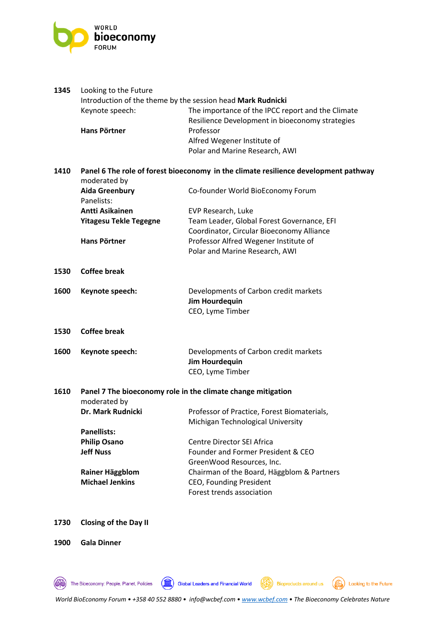

| 1345 | Looking to the Future<br>Introduction of the theme by the session head Mark Rudnicki                |                                                                                                      |
|------|-----------------------------------------------------------------------------------------------------|------------------------------------------------------------------------------------------------------|
|      | Keynote speech:                                                                                     | The importance of the IPCC report and the Climate<br>Resilience Development in bioeconomy strategies |
|      | <b>Hans Pörtner</b>                                                                                 | Professor                                                                                            |
|      |                                                                                                     | Alfred Wegener Institute of                                                                          |
|      |                                                                                                     | Polar and Marine Research, AWI                                                                       |
| 1410 | Panel 6 The role of forest bioeconomy in the climate resilience development pathway<br>moderated by |                                                                                                      |
|      | <b>Aida Greenbury</b><br>Panelists:                                                                 | Co-founder World BioEconomy Forum                                                                    |
|      | Antti Asikainen                                                                                     | EVP Research, Luke                                                                                   |
|      | <b>Yitagesu Tekle Tegegne</b>                                                                       | Team Leader, Global Forest Governance, EFI                                                           |
|      |                                                                                                     | Coordinator, Circular Bioeconomy Alliance                                                            |
|      | <b>Hans Pörtner</b>                                                                                 | Professor Alfred Wegener Institute of                                                                |
|      |                                                                                                     | Polar and Marine Research, AWI                                                                       |
| 1530 | <b>Coffee break</b>                                                                                 |                                                                                                      |
| 1600 | Keynote speech:                                                                                     | Developments of Carbon credit markets                                                                |
|      |                                                                                                     | <b>Jim Hourdequin</b>                                                                                |
|      |                                                                                                     | CEO, Lyme Timber                                                                                     |
| 1530 | <b>Coffee break</b>                                                                                 |                                                                                                      |
| 1600 | Keynote speech:                                                                                     | Developments of Carbon credit markets<br><b>Jim Hourdequin</b>                                       |
|      |                                                                                                     | CEO, Lyme Timber                                                                                     |
|      |                                                                                                     |                                                                                                      |
| 1610 | Panel 7 The bioeconomy role in the climate change mitigation<br>moderated by                        |                                                                                                      |
|      | Dr. Mark Rudnicki                                                                                   | Professor of Practice, Forest Biomaterials,                                                          |
|      |                                                                                                     | Michigan Technological University                                                                    |
|      | <b>Panellists:</b>                                                                                  |                                                                                                      |
|      | <b>Philip Osano</b>                                                                                 | Centre Director SEI Africa                                                                           |
|      | <b>Jeff Nuss</b>                                                                                    | Founder and Former President & CEO                                                                   |
|      |                                                                                                     | GreenWood Resources, Inc.                                                                            |
|      | <b>Rainer Häggblom</b><br><b>Michael Jenkins</b>                                                    | Chairman of the Board, Häggblom & Partners<br>CEO, Founding President                                |
|      |                                                                                                     | Forest trends association                                                                            |
|      |                                                                                                     |                                                                                                      |

**1730 Closing of the Day II**

The Bioeconomy: People, Planet, Policies

**1900 Gala Dinner**

*World BioEconomy Forum • +358 40 552 8880 • info@wcbef.com • www.wcbef.com • The Bioeconomy Celebrates Nature*

Global Leaders and Financial World (Seperation Bioproducts around us (Seperation Looking to the Future